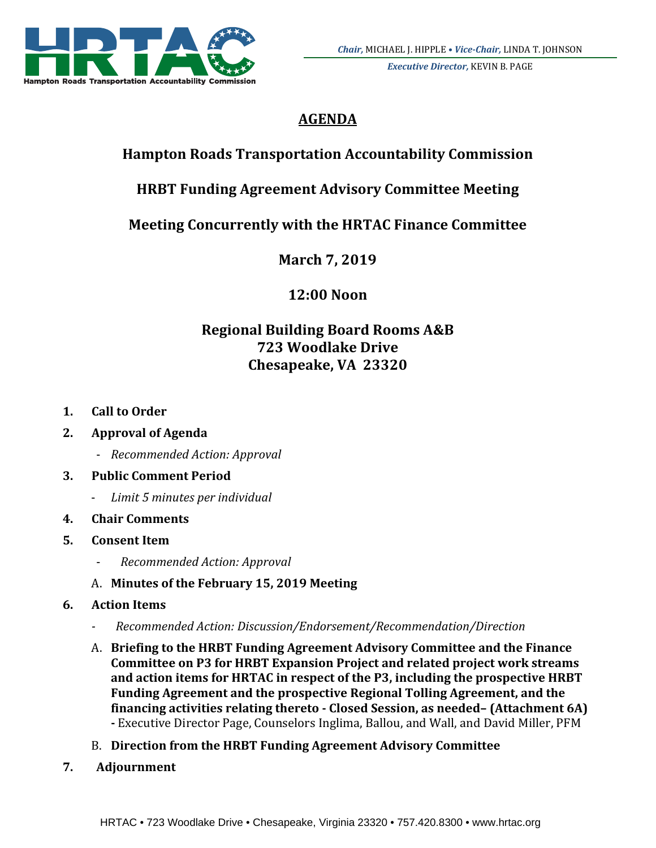

*Executive Director,* KEVIN B. PAGE

# **AGENDA**

# **Hampton Roads Transportation Accountability Commission**

# **HRBT Funding Agreement Advisory Committee Meeting**

## **Meeting Concurrently with the HRTAC Finance Committee**

**March 7, 2019**

**12:00 Noon**

## **Regional Building Board Rooms A&B 723 Woodlake Drive Chesapeake, VA 23320**

- **1. Call to Order**
- **2. Approval of Agenda**
	- ‐ *Recommended Action: Approval*

## **3. Public Comment Period**

- ‐ *Limit 5 minutes per individual*
- **4. Chair Comments**

## **5. Consent Item**

- ‐ *Recommended Action: Approval*
- A. Minutes of the February 15, 2019 Meeting
- **6. Action Items**
	- *‐ Recommended Action: Discussion/Endorsement/Recommendation/Direction*
	- A. **Briefing to the HRBT Funding Agreement Advisory Committee and the Finance Committee on P3 for HRBT Expansion Project and related project work streams and action items for HRTAC in respect of the P3, including the prospective HRBT Funding Agreement and the prospective Regional Tolling Agreement, and the financing activities relating thereto ‐ Closed Session, as needed– (Attachment 6A)** - Executive Director Page, Counselors Inglima, Ballou, and Wall, and David Miller, PFM
	- B. **Direction from the HRBT Funding Agreement Advisory Committee**
- **7. Adjournment**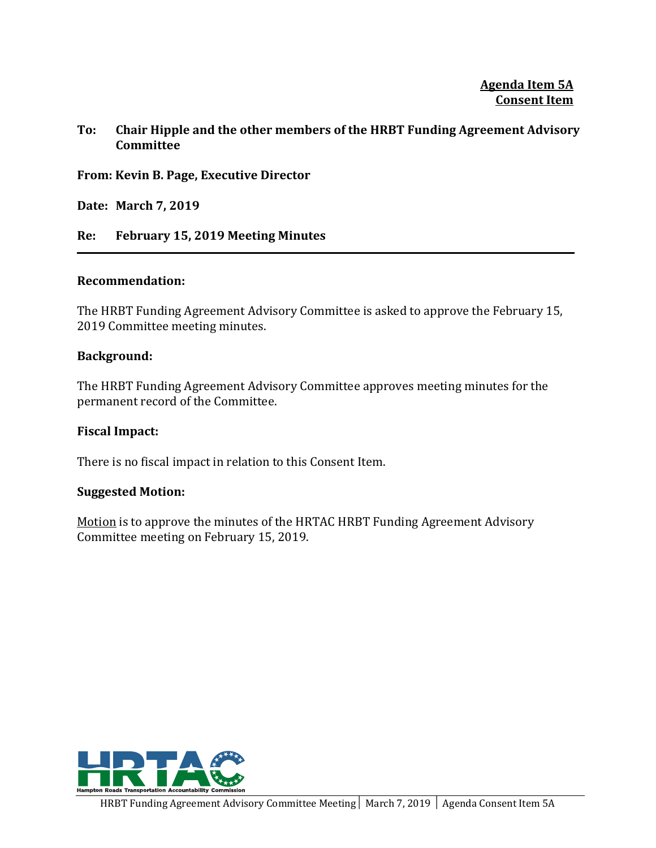**Agenda Item 5A Consent Item**

#### **To: Chair Hipple and the other members of the HRBT Funding Agreement Advisory Committee**

**From: Kevin B. Page, Executive Director**

**Date: March 7, 2019**

**Re: February 15, 2019 Meeting Minutes**

#### **Recommendation:**

The HRBT Funding Agreement Advisory Committee is asked to approve the February 15, 2019 Committee meeting minutes.

#### **Background:**

The HRBT Funding Agreement Advisory Committee approves meeting minutes for the permanent record of the Committee.

#### **Fiscal Impact:**

There is no fiscal impact in relation to this Consent Item.

#### **Suggested Motion:**

Motion is to approve the minutes of the HRTAC HRBT Funding Agreement Advisory Committee meeting on February 15, 2019.

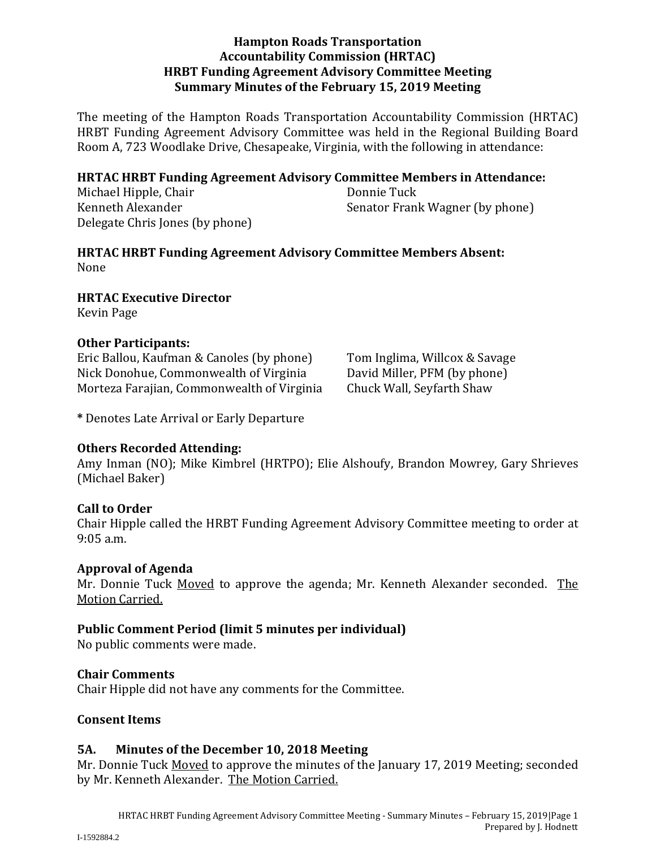#### **Hampton Roads Transportation Accountability Commission (HRTAC) HRBT Funding Agreement Advisory Committee Meeting Summary Minutes of the February 15, 2019 Meeting**

The meeting of the Hampton Roads Transportation Accountability Commission (HRTAC) HRBT Funding Agreement Advisory Committee was held in the Regional Building Board Room A, 723 Woodlake Drive, Chesapeake, Virginia, with the following in attendance:

#### **HRTAC HRBT Funding Agreement Advisory Committee Members in Attendance:**

Michael Hipple, Chair **Donnie Tuck** Delegate Chris Jones (by phone)

Kenneth Alexander *Senator* Frank Wagner (by phone)

**HRTAC HRBT Funding Agreement Advisory Committee Members Absent:** None 

**HRTAC Executive Director**

Kevin Page 

#### **Other Participants:**

Eric Ballou, Kaufman & Canoles (by phone) Tom Inglima, Willcox & Savage Nick Donohue, Commonwealth of Virginia David Miller, PFM (by phone) Morteza Farajian, Commonwealth of Virginia Chuck Wall, Seyfarth Shaw

**\*** Denotes Late Arrival or Early Departure 

#### **Others Recorded Attending:**

Amy Inman (NO); Mike Kimbrel (HRTPO); Elie Alshoufy, Brandon Mowrey, Gary Shrieves (Michael Baker)

#### **Call to Order**

Chair Hipple called the HRBT Funding Agreement Advisory Committee meeting to order at  $9:05$  a.m.

#### **Approval of Agenda**

Mr. Donnie Tuck Moved to approve the agenda; Mr. Kenneth Alexander seconded. The Motion Carried.

#### **Public Comment Period (limit 5 minutes per individual)**

No public comments were made.

#### **Chair Comments**

Chair Hipple did not have any comments for the Committee.

#### **Consent Items**

#### **5A. Minutes of the December 10, 2018 Meeting**

Mr. Donnie Tuck Moved to approve the minutes of the January 17, 2019 Meeting; seconded by Mr. Kenneth Alexander. The Motion Carried.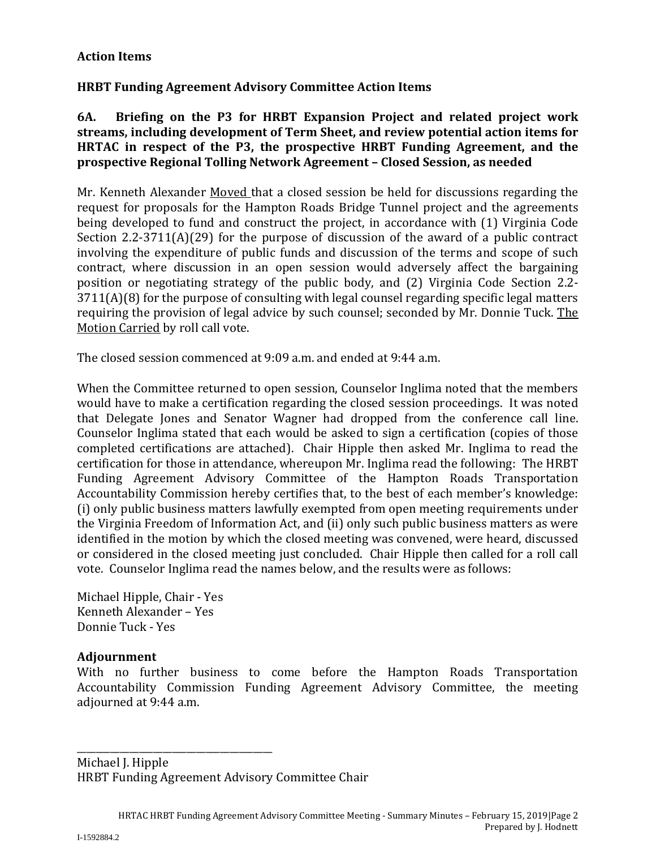### **Action Items**

### **HRBT Funding Agreement Advisory Committee Action Items**

**6A. Briefing on the P3 for HRBT Expansion Project and related project work streams, including development of Term Sheet, and review potential action items for HRTAC in respect of the P3, the prospective HRBT Funding Agreement, and the prospective Regional Tolling Network Agreement – Closed Session, as needed**

Mr. Kenneth Alexander Moved that a closed session be held for discussions regarding the request for proposals for the Hampton Roads Bridge Tunnel project and the agreements being developed to fund and construct the project, in accordance with (1) Virginia Code Section  $2.2-3711(A)(29)$  for the purpose of discussion of the award of a public contract involving the expenditure of public funds and discussion of the terms and scope of such contract, where discussion in an open session would adversely affect the bargaining position or negotiating strategy of the public body, and (2) Virginia Code Section 2.2- $3711(A)(8)$  for the purpose of consulting with legal counsel regarding specific legal matters requiring the provision of legal advice by such counsel; seconded by Mr. Donnie Tuck. The Motion Carried by roll call vote.

The closed session commenced at 9:09 a.m. and ended at 9:44 a.m.

When the Committee returned to open session, Counselor Inglima noted that the members would have to make a certification regarding the closed session proceedings. It was noted that Delegate Jones and Senator Wagner had dropped from the conference call line. Counselor Inglima stated that each would be asked to sign a certification (copies of those completed certifications are attached). Chair Hipple then asked Mr. Inglima to read the certification for those in attendance, whereupon Mr. Inglima read the following: The HRBT Funding Agreement Advisory Committee of the Hampton Roads Transportation Accountability Commission hereby certifies that, to the best of each member's knowledge: (i) only public business matters lawfully exempted from open meeting requirements under the Virginia Freedom of Information Act, and (ii) only such public business matters as were identified in the motion by which the closed meeting was convened, were heard, discussed or considered in the closed meeting just concluded. Chair Hipple then called for a roll call vote. Counselor Inglima read the names below, and the results were as follows:

Michael Hipple, Chair - Yes Kenneth Alexander – Yes Donnie Tuck - Yes

#### **Adjournment**

With no further business to come before the Hampton Roads Transportation Accountability Commission Funding Agreement Advisory Committee, the meeting adjourned at 9:44 a.m.

Michael J. Hipple HRBT Funding Agreement Advisory Committee Chair

\_\_\_\_\_\_\_\_\_\_\_\_\_\_\_\_\_\_\_\_\_\_\_\_\_\_\_\_\_\_\_\_\_\_\_\_\_\_\_\_\_